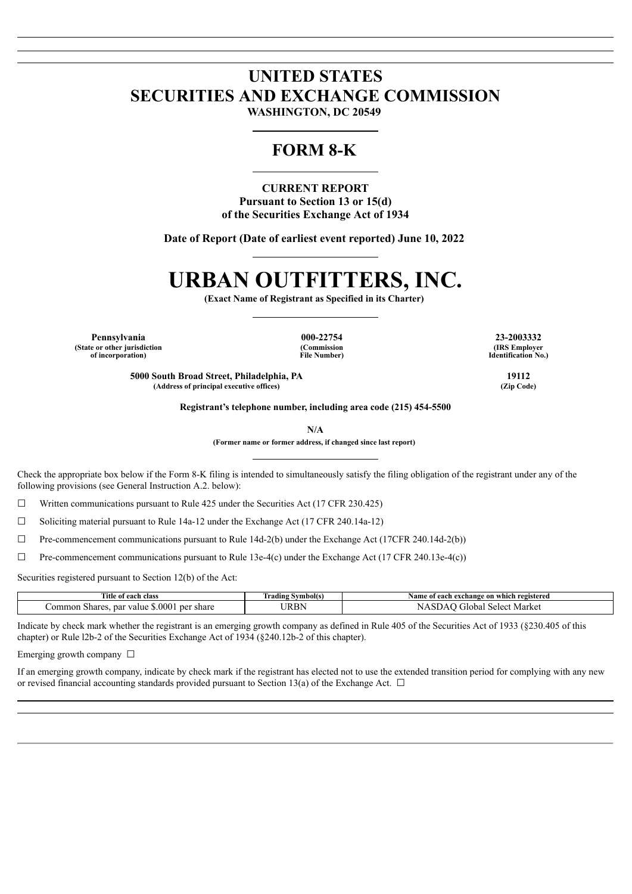## **UNITED STATES SECURITIES AND EXCHANGE COMMISSION WASHINGTON, DC 20549**

# **FORM 8-K**

**CURRENT REPORT Pursuant to Section 13 or 15(d) of the Securities Exchange Act of 1934**

**Date of Report (Date of earliest event reported) June 10, 2022**

# **URBAN OUTFITTERS, INC.**

**(Exact Name of Registrant as Specified in its Charter)**

**Pennsylvania 000-22754 23-2003332 (State or other jurisdiction of incorporation)**

**(Commission File Number)**

**5000 South Broad Street, Philadelphia, PA 19112 (Address of principal executive offices) (Zip Code)**

**(IRS Employer Identification No.)**

**Registrant's telephone number, including area code (215) 454-5500**

**N/A**

**(Former name or former address, if changed since last report)**

Check the appropriate box below if the Form 8-K filing is intended to simultaneously satisfy the filing obligation of the registrant under any of the following provisions (see General Instruction A.2. below):

 $\Box$  Written communications pursuant to Rule 425 under the Securities Act (17 CFR 230.425)

 $\Box$  Soliciting material pursuant to Rule 14a-12 under the Exchange Act (17 CFR 240.14a-12)

☐ Pre-commencement communications pursuant to Rule 14d-2(b) under the Exchange Act (17CFR 240.14d-2(b))

 $\Box$  Pre-commencement communications pursuant to Rule 13e-4(c) under the Exchange Act (17 CFR 240.13e-4(c))

Securities registered pursuant to Section 12(b) of the Act:

| Title<br>of each class                                     | Symbol(s)<br>rading | registered<br>e on which<br>each exchange<br>Name of |
|------------------------------------------------------------|---------------------|------------------------------------------------------|
| .000<br>par y<br>ner<br>ommon<br>share<br>Shares.<br>zalue | TRBN                | Market<br>selec'<br>ril0 <sup>r</sup><br>nai         |

Indicate by check mark whether the registrant is an emerging growth company as defined in Rule 405 of the Securities Act of 1933 (§230.405 of this chapter) or Rule l2b-2 of the Securities Exchange Act of 1934 (§240.12b-2 of this chapter).

Emerging growth company  $\Box$ 

If an emerging growth company, indicate by check mark if the registrant has elected not to use the extended transition period for complying with any new or revised financial accounting standards provided pursuant to Section 13(a) of the Exchange Act.  $\Box$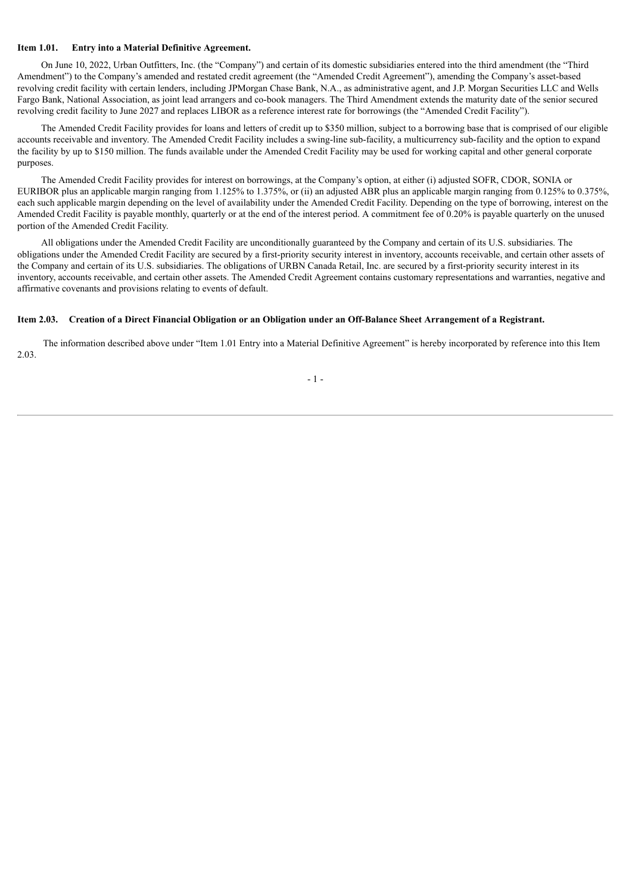#### **Item 1.01. Entry into a Material Definitive Agreement.**

On June 10, 2022, Urban Outfitters, Inc. (the "Company") and certain of its domestic subsidiaries entered into the third amendment (the "Third Amendment") to the Company's amended and restated credit agreement (the "Amended Credit Agreement"), amending the Company's asset-based revolving credit facility with certain lenders, including JPMorgan Chase Bank, N.A., as administrative agent, and J.P. Morgan Securities LLC and Wells Fargo Bank, National Association, as joint lead arrangers and co-book managers. The Third Amendment extends the maturity date of the senior secured revolving credit facility to June 2027 and replaces LIBOR as a reference interest rate for borrowings (the "Amended Credit Facility").

The Amended Credit Facility provides for loans and letters of credit up to \$350 million, subject to a borrowing base that is comprised of our eligible accounts receivable and inventory. The Amended Credit Facility includes a swing-line sub-facility, a multicurrency sub-facility and the option to expand the facility by up to \$150 million. The funds available under the Amended Credit Facility may be used for working capital and other general corporate purposes.

The Amended Credit Facility provides for interest on borrowings, at the Company's option, at either (i) adjusted SOFR, CDOR, SONIA or EURIBOR plus an applicable margin ranging from 1.125% to 1.375%, or (ii) an adjusted ABR plus an applicable margin ranging from 0.125% to 0.375%, each such applicable margin depending on the level of availability under the Amended Credit Facility. Depending on the type of borrowing, interest on the Amended Credit Facility is payable monthly, quarterly or at the end of the interest period. A commitment fee of 0.20% is payable quarterly on the unused portion of the Amended Credit Facility.

All obligations under the Amended Credit Facility are unconditionally guaranteed by the Company and certain of its U.S. subsidiaries. The obligations under the Amended Credit Facility are secured by a first-priority security interest in inventory, accounts receivable, and certain other assets of the Company and certain of its U.S. subsidiaries. The obligations of URBN Canada Retail, Inc. are secured by a first-priority security interest in its inventory, accounts receivable, and certain other assets. The Amended Credit Agreement contains customary representations and warranties, negative and affirmative covenants and provisions relating to events of default.

#### Item 2.03. Creation of a Direct Financial Obligation or an Obligation under an Off-Balance Sheet Arrangement of a Registrant.

The information described above under "Item 1.01 Entry into a Material Definitive Agreement" is hereby incorporated by reference into this Item 2.03.

- 1 -